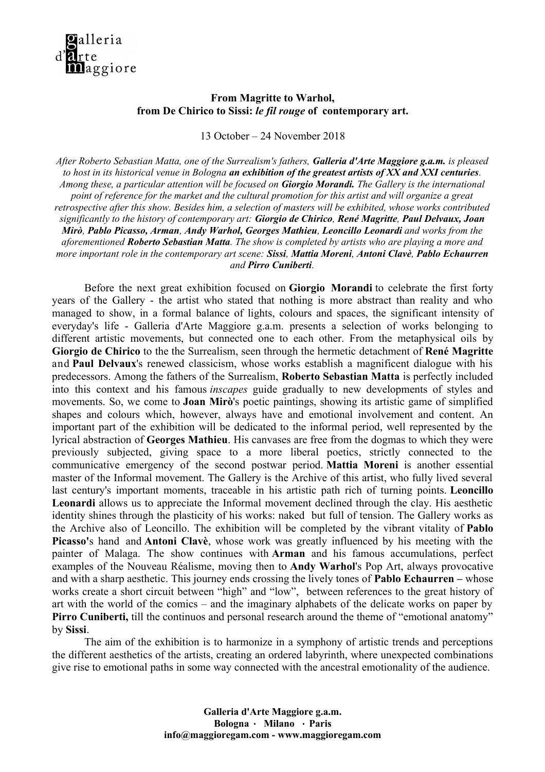

## **From Magritte to Warhol, from De Chirico to Sissi:** *le fil rouge* **of contemporary art.**

13 October – 24 November 2018

*After Roberto Sebastian Matta, one of the Surrealism's fathers, Galleria d'Arte Maggiore g.a.m. is pleased to host in its historical venue in Bologna an exhibition of the greatest artists of XX and XXI centuries. Among these, a particular attention will be focused on Giorgio Morandi. The Gallery is the international point of reference for the market and the cultural promotion for this artist and will organize a great retrospective after this show. Besides him, a selection of masters will be exhibited, whose works contributed significantly to the history of contemporary art: Giorgio de Chirico, René Magritte, Paul Delvaux, Joan Mirò, Pablo Picasso, Arman, Andy Warhol, Georges Mathieu, Leoncillo Leonardi and works from the aforementioned Roberto Sebastian Matta. The show is completed by artists who are playing a more and more important role in the contemporary art scene: Sissi, Mattia Moreni, Antoni Clavè, Pablo Echaurren and Pirro Cuniberti.*

Before the next great exhibition focused on **Giorgio Morandi** to celebrate the first forty years of the Gallery - the artist who stated that nothing is more abstract than reality and who managed to show, in a formal balance of lights, colours and spaces, the significant intensity of everyday's life - Galleria d'Arte Maggiore g.a.m. presents a selection of works belonging to different artistic movements, but connected one to each other. From the metaphysical oils by **Giorgio de Chirico** to the the Surrealism, seen through the hermetic detachment of **René Magritte** and **Paul Delvaux**'s renewed classicism, whose works establish a magnificent dialogue with his predecessors. Among the fathers of the Surrealism, **Roberto Sebastian Matta** is perfectly included into this context and his famous *inscapes* guide gradually to new developments of styles and movements. So, we come to **Joan Mirò**'s poetic paintings, showing its artistic game of simplified shapes and colours which, however, always have and emotional involvement and content. An important part of the exhibition will be dedicated to the informal period, well represented by the lyrical abstraction of **Georges Mathieu**. His canvases are free from the dogmas to which they were previously subjected, giving space to a more liberal poetics, strictly connected to the communicative emergency of the second postwar period. **Mattia Moreni** is another essential master of the Informal movement. The Gallery is the Archive of this artist, who fully lived several last century's important moments, traceable in his artistic path rich of turning points. **Leoncillo Leonardi** allows us to appreciate the Informal movement declined through the clay. His aesthetic identity shines through the plasticity of his works: naked but full of tension. The Gallery works as the Archive also of Leoncillo. The exhibition will be completed by the vibrant vitality of **Pablo Picasso'**s hand and **Antoni Clavè**, whose work was greatly influenced by his meeting with the painter of Malaga. The show continues with **Arman** and his famous accumulations, perfect examples of the Nouveau Réalisme, moving then to **Andy Warhol**'s Pop Art, always provocative and with a sharp aesthetic. This journey ends crossing the lively tones of **Pablo Echaurren –** whose works create a short circuit between "high" and "low", between references to the great history of art with the world of the comics – and the imaginary alphabets of the delicate works on paper by **Pirro Cuniberti,** till the continuos and personal research around the theme of "emotional anatomy" by **Sissi**.

The aim of the exhibition is to harmonize in a symphony of artistic trends and perceptions the different aesthetics of the artists, creating an ordered labyrinth, where unexpected combinations give rise to emotional paths in some way connected with the ancestral emotionality of the audience.